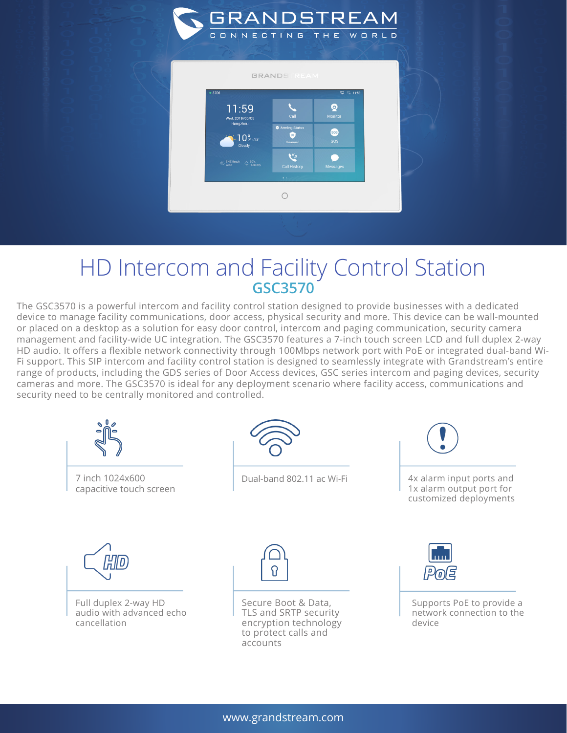

## HD Intercom and Facility Control Station **GSC3570**

The GSC3570 is a powerful intercom and facility control station designed to provide businesses with a dedicated device to manage facility communications, door access, physical security and more. This device can be wall-mounted or placed on a desktop as a solution for easy door control, intercom and paging communication, security camera management and facility-wide UC integration. The GSC3570 features a 7-inch touch screen LCD and full duplex 2-way HD audio. It offers a flexible network connectivity through 100Mbps network port with PoE or integrated dual-band Wi-Fi support. This SIP intercom and facility control station is designed to seamlessly integrate with Grandstream's entire range of products, including the GDS series of Door Access devices, GSC series intercom and paging devices, security cameras and more. The GSC3570 is ideal for any deployment scenario where facility access, communications and security need to be centrally monitored and controlled.



## www.grandstream.com